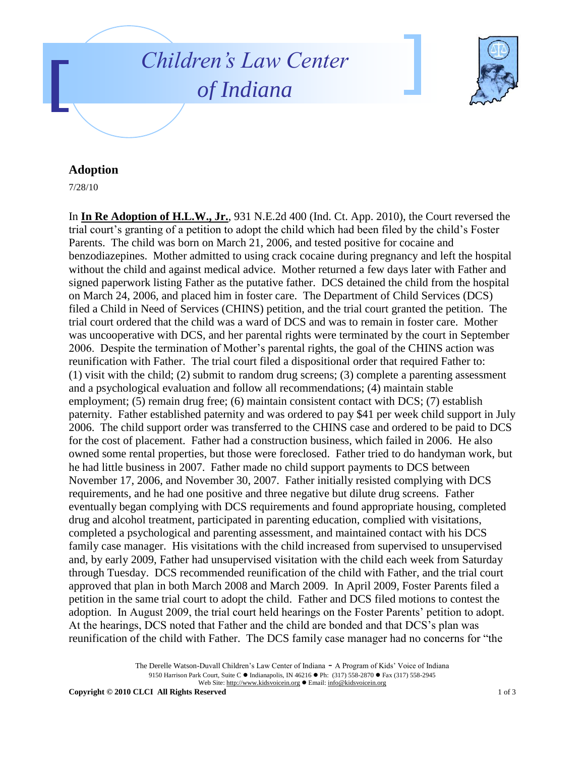



## **Adoption**

7/28/10

In **In Re Adoption of H.L.W., Jr.**, 931 N.E.2d 400 (Ind. Ct. App. 2010), the Court reversed the trial court's granting of a petition to adopt the child which had been filed by the child's Foster Parents. The child was born on March 21, 2006, and tested positive for cocaine and benzodiazepines. Mother admitted to using crack cocaine during pregnancy and left the hospital without the child and against medical advice. Mother returned a few days later with Father and signed paperwork listing Father as the putative father. DCS detained the child from the hospital on March 24, 2006, and placed him in foster care. The Department of Child Services (DCS) filed a Child in Need of Services (CHINS) petition, and the trial court granted the petition. The trial court ordered that the child was a ward of DCS and was to remain in foster care. Mother was uncooperative with DCS, and her parental rights were terminated by the court in September 2006. Despite the termination of Mother's parental rights, the goal of the CHINS action was reunification with Father. The trial court filed a dispositional order that required Father to: (1) visit with the child; (2) submit to random drug screens; (3) complete a parenting assessment and a psychological evaluation and follow all recommendations; (4) maintain stable employment; (5) remain drug free; (6) maintain consistent contact with DCS; (7) establish paternity. Father established paternity and was ordered to pay \$41 per week child support in July 2006. The child support order was transferred to the CHINS case and ordered to be paid to DCS for the cost of placement. Father had a construction business, which failed in 2006. He also owned some rental properties, but those were foreclosed. Father tried to do handyman work, but he had little business in 2007. Father made no child support payments to DCS between November 17, 2006, and November 30, 2007. Father initially resisted complying with DCS requirements, and he had one positive and three negative but dilute drug screens. Father eventually began complying with DCS requirements and found appropriate housing, completed drug and alcohol treatment, participated in parenting education, complied with visitations, completed a psychological and parenting assessment, and maintained contact with his DCS family case manager. His visitations with the child increased from supervised to unsupervised and, by early 2009, Father had unsupervised visitation with the child each week from Saturday through Tuesday. DCS recommended reunification of the child with Father, and the trial court approved that plan in both March 2008 and March 2009. In April 2009, Foster Parents filed a petition in the same trial court to adopt the child. Father and DCS filed motions to contest the adoption. In August 2009, the trial court held hearings on the Foster Parents' petition to adopt. At the hearings, DCS noted that Father and the child are bonded and that DCS's plan was reunification of the child with Father. The DCS family case manager had no concerns for "the

> The Derelle Watson-Duvall Children's Law Center of Indiana - A Program of Kids' Voice of Indiana 9150 Harrison Park Court, Suite C · Indianapolis, IN 46216 · Ph: (317) 558-2870 · Fax (317) 558-2945 Web Site: http://www.kidsvoicein.org · Email: info@kidsvoicein.org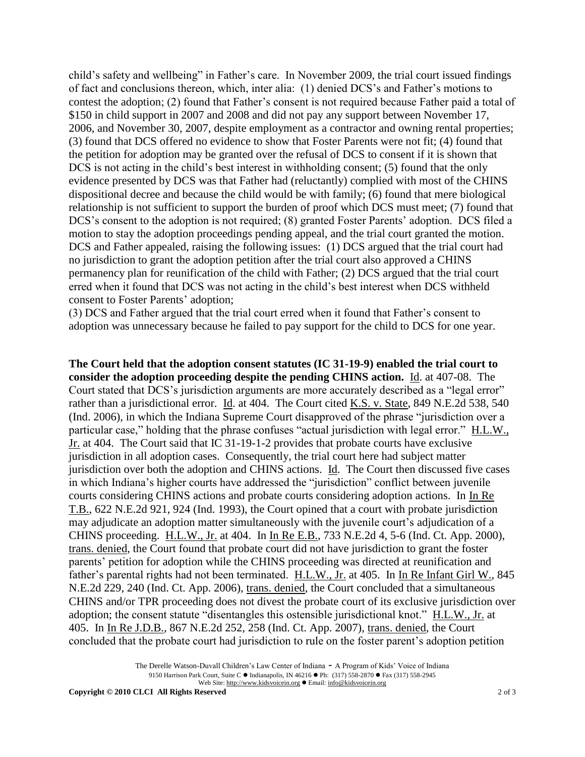child's safety and wellbeing" in Father's care. In November 2009, the trial court issued findings of fact and conclusions thereon, which, inter alia: (1) denied DCS's and Father's motions to contest the adoption; (2) found that Father's consent is not required because Father paid a total of \$150 in child support in 2007 and 2008 and did not pay any support between November 17, 2006, and November 30, 2007, despite employment as a contractor and owning rental properties; (3) found that DCS offered no evidence to show that Foster Parents were not fit; (4) found that the petition for adoption may be granted over the refusal of DCS to consent if it is shown that DCS is not acting in the child's best interest in withholding consent; (5) found that the only evidence presented by DCS was that Father had (reluctantly) complied with most of the CHINS dispositional decree and because the child would be with family; (6) found that mere biological relationship is not sufficient to support the burden of proof which DCS must meet; (7) found that DCS's consent to the adoption is not required; (8) granted Foster Parents' adoption. DCS filed a motion to stay the adoption proceedings pending appeal, and the trial court granted the motion. DCS and Father appealed, raising the following issues: (1) DCS argued that the trial court had no jurisdiction to grant the adoption petition after the trial court also approved a CHINS permanency plan for reunification of the child with Father; (2) DCS argued that the trial court erred when it found that DCS was not acting in the child's best interest when DCS withheld consent to Foster Parents' adoption;

(3) DCS and Father argued that the trial court erred when it found that Father's consent to adoption was unnecessary because he failed to pay support for the child to DCS for one year.

**The Court held that the adoption consent statutes (IC 31-19-9) enabled the trial court to consider the adoption proceeding despite the pending CHINS action.** Id. at 407-08. The Court stated that DCS's jurisdiction arguments are more accurately described as a "legal error" rather than a jurisdictional error. Id. at 404. The Court cited K.S. v. State, 849 N.E.2d 538, 540 (Ind. 2006), in which the Indiana Supreme Court disapproved of the phrase "jurisdiction over a particular case," holding that the phrase confuses "actual jurisdiction with legal error." H.L.W., Jr. at 404. The Court said that IC 31-19-1-2 provides that probate courts have exclusive jurisdiction in all adoption cases. Consequently, the trial court here had subject matter jurisdiction over both the adoption and CHINS actions. Id. The Court then discussed five cases in which Indiana's higher courts have addressed the "jurisdiction" conflict between juvenile courts considering CHINS actions and probate courts considering adoption actions. In In Re T.B., 622 N.E.2d 921, 924 (Ind. 1993), the Court opined that a court with probate jurisdiction may adjudicate an adoption matter simultaneously with the juvenile court's adjudication of a CHINS proceeding. H.L.W., Jr. at 404. In In Re E.B., 733 N.E.2d 4, 5-6 (Ind. Ct. App. 2000), trans. denied, the Court found that probate court did not have jurisdiction to grant the foster parents' petition for adoption while the CHINS proceeding was directed at reunification and father's parental rights had not been terminated. H.L.W., Jr. at 405. In In Re Infant Girl W., 845 N.E.2d 229, 240 (Ind. Ct. App. 2006), trans. denied, the Court concluded that a simultaneous CHINS and/or TPR proceeding does not divest the probate court of its exclusive jurisdiction over adoption; the consent statute "disentangles this ostensible jurisdictional knot." H.L.W., Jr. at 405. In In Re J.D.B., 867 N.E.2d 252, 258 (Ind. Ct. App. 2007), trans. denied, the Court concluded that the probate court had jurisdiction to rule on the foster parent's adoption petition